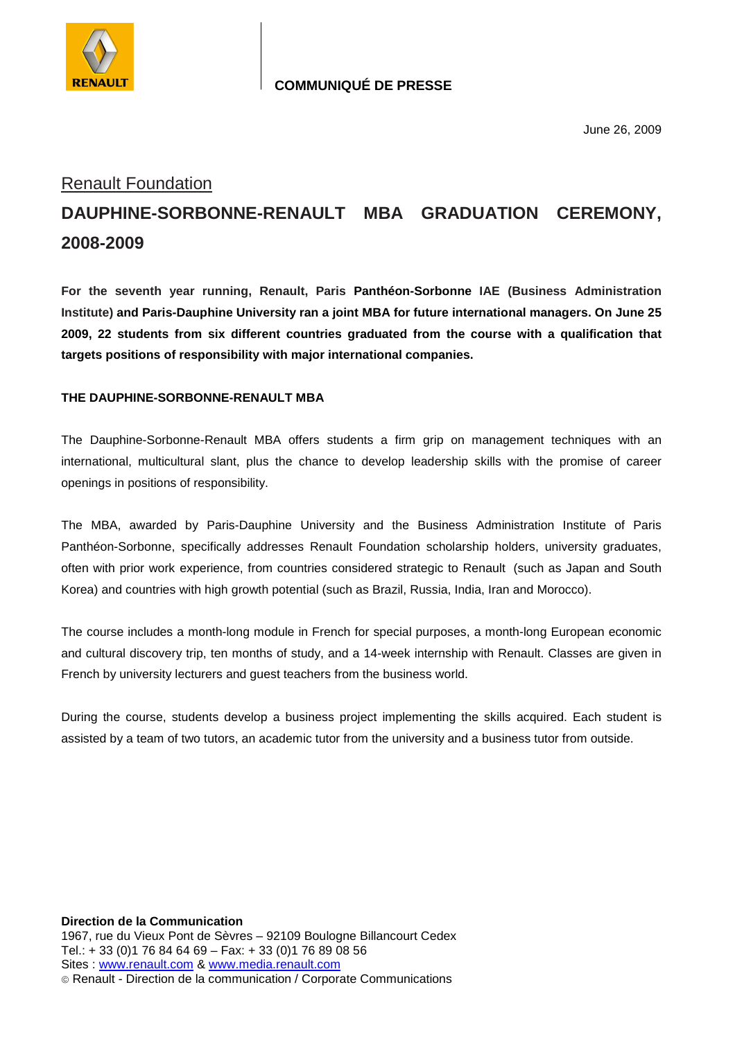

## **COMMUNIQUÉ DE PRESSE**

June 26, 2009

## Renault Foundation **DAUPHINE-SORBONNE-RENAULT MBA GRADUATION CEREMONY, 2008-2009**

**For the seventh year running, Renault, Paris Panthéon-Sorbonne IAE (Business Administration Institute) and Paris-Dauphine University ran a joint MBA for future international managers. On June 25 2009, 22 students from six different countries graduated from the course with a qualification that targets positions of responsibility with major international companies.** 

## **THE DAUPHINE-SORBONNE-RENAULT MBA**

The Dauphine-Sorbonne-Renault MBA offers students a firm grip on management techniques with an international, multicultural slant, plus the chance to develop leadership skills with the promise of career openings in positions of responsibility.

The MBA, awarded by Paris-Dauphine University and the Business Administration Institute of Paris Panthéon-Sorbonne, specifically addresses Renault Foundation scholarship holders, university graduates, often with prior work experience, from countries considered strategic to Renault (such as Japan and South Korea) and countries with high growth potential (such as Brazil, Russia, India, Iran and Morocco).

The course includes a month-long module in French for special purposes, a month-long European economic and cultural discovery trip, ten months of study, and a 14-week internship with Renault. Classes are given in French by university lecturers and guest teachers from the business world.

During the course, students develop a business project implementing the skills acquired. Each student is assisted by a team of two tutors, an academic tutor from the university and a business tutor from outside.